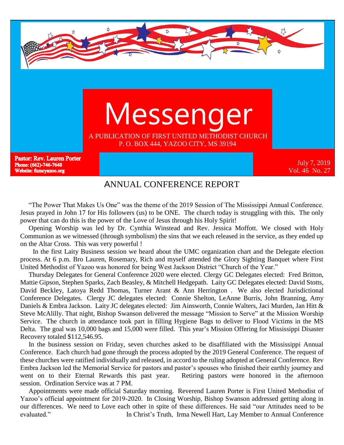

#### ANNUAL CONFERENCE REPORT

 "The Power That Makes Us One" was the theme of the 2019 Session of The Mississippi Annual Conference. Jesus prayed in John 17 for His followers (us) to be ONE. The church today is struggling with this. The only power that can do this is the power of the Love of Jesus through his Holy Spirit!

 Opening Worship was led by Dr. Cynthia Winstead and Rev. Jessica Moffott. We closed with Holy Communion as we witnessed (through symbolism) the sins that we each released in the service, as they ended up on the Altar Cross. This was very powerful !

 In the first Laity Business session we heard about the UMC organization chart and the Delegate election process. At 6 p.m. Bro Lauren, Rosemary, Rich and myself attended the Glory Sighting Banquet where First United Methodist of Yazoo was honored for being West Jackson District "Church of the Year."

 Thursday Delegates for General Conference 2020 were elected. Clergy GC Delegates elected: Fred Britton, Mattie Gipson, Stephen Sparks, Zach Beasley, & Mitchell Hedgepath. Laity GC Delegates elected: David Stotts, David Beckley, Latoya Redd Thomas, Turner Arant & Ann Herrington . We also elected Jurisdictional Conference Delegates. Clergy JC delegates elected: Connie Shelton, LeAnne Burris, John Branning, Amy Daniels & Embra Jackson. Laity JC delegates elected: Jim Ainsworth, Connie Walters, Jaci Murden, Jan Hitt & Steve McAlilly. That night, Bishop Swanson delivered the message "Mission to Serve" at the Mission Worship Service. The church in attendance took part in filling Hygiene Bags to deliver to Flood Victims in the MS Delta. The goal was 10,000 bags and 15,000 were filled. This year's Mission Offering for Mississippi Disaster Recovery totaled \$112,546.95.

 In the business session on Friday, seven churches asked to be disaffiliated with the Mississippi Annual Conference. Each church had gone through the process adopted by the 2019 General Conference. The request of these churches were ratified individually and released, in accord to the ruling adopted at General Conference. Rev Embra Jackson led the Memorial Service for pastors and pastor's spouses who finished their earthly journey and went on to their Eternal Rewards this past year. Retiring pastors were honored in the afternoon session. Ordination Service was at 7 PM.

 Appointments were made official Saturday morning. Reverend Lauren Porter is First United Methodist of Yazoo's official appointment for 2019-2020. In Closing Worship, Bishop Swanson addressed getting along in our differences. We need to Love each other in spite of these differences. He said "our Attitudes need to be evaluated." In Christ's Truth, Irma Newell Hart, Lay Member to Annual Conference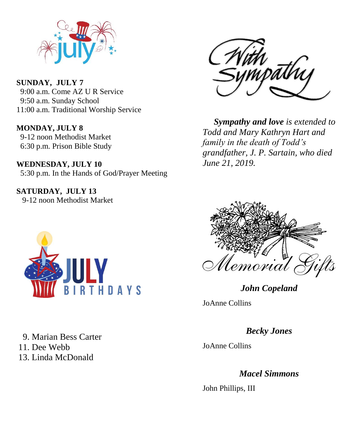

**SUNDAY, JULY 7** 9:00 a.m. Come AZ U R Service 9:50 a.m. Sunday School 11:00 a.m. Traditional Worship Service

**MONDAY, JULY 8** 9-12 noon Methodist Market 6:30 p.m. Prison Bible Study

**WEDNESDAY, JULY 10** 5:30 p.m. In the Hands of God/Prayer Meeting

**SATURDAY, JULY 13** 9-12 noon Methodist Market



 9. Marian Bess Carter 11. Dee Webb 13. Linda McDonald



 *Sympathy and love is extended to Todd and Mary Kathryn Hart and family in the death of Todd's grandfather, J. P. Sartain, who died June 21, 2019.* 



*John Copeland*

JoAnne Collins

*Becky Jones* 

JoAnne Collins

*Macel Simmons*

John Phillips, III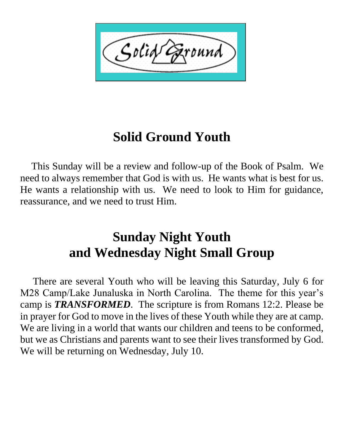Solid ound

# **Solid Ground Youth**

 This Sunday will be a review and follow-up of the Book of Psalm. We need to always remember that God is with us. He wants what is best for us. He wants a relationship with us. We need to look to Him for guidance, reassurance, and we need to trust Him.

## **Sunday Night Youth and Wednesday Night Small Group**

 There are several Youth who will be leaving this Saturday, July 6 for M28 Camp/Lake Junaluska in North Carolina. The theme for this year's camp is *TRANSFORMED*. The scripture is from Romans 12:2. Please be in prayer for God to move in the lives of these Youth while they are at camp. We are living in a world that wants our children and teens to be conformed, but we as Christians and parents want to see their lives transformed by God. We will be returning on Wednesday, July 10.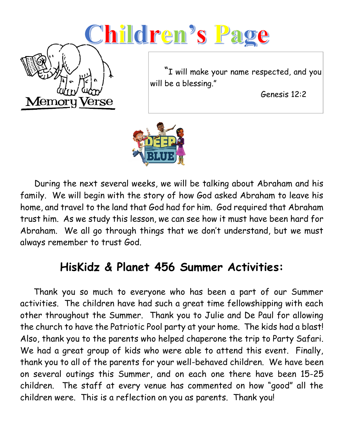# Children's Page



 "I will make your name respected, and you will be a blessing."

Genesis 12:2



 During the next several weeks, we will be talking about Abraham and his family. We will begin with the story of how God asked Abraham to leave his home, and travel to the land that God had for him. God required that Abraham trust him. As we study this lesson, we can see how it must have been hard for Abraham. We all go through things that we don't understand, but we must always remember to trust God.

## **HisKidz & Planet 456 Summer Activities:**

 Thank you so much to everyone who has been a part of our Summer activities. The children have had such a great time fellowshipping with each other throughout the Summer. Thank you to Julie and De Paul for allowing the church to have the Patriotic Pool party at your home. The kids had a blast! Also, thank you to the parents who helped chaperone the trip to Party Safari. We had a great group of kids who were able to attend this event. Finally, thank you to all of the parents for your well-behaved children. We have been on several outings this Summer, and on each one there have been 15-25 children. The staff at every venue has commented on how "good" all the children were. This is a reflection on you as parents. Thank you!